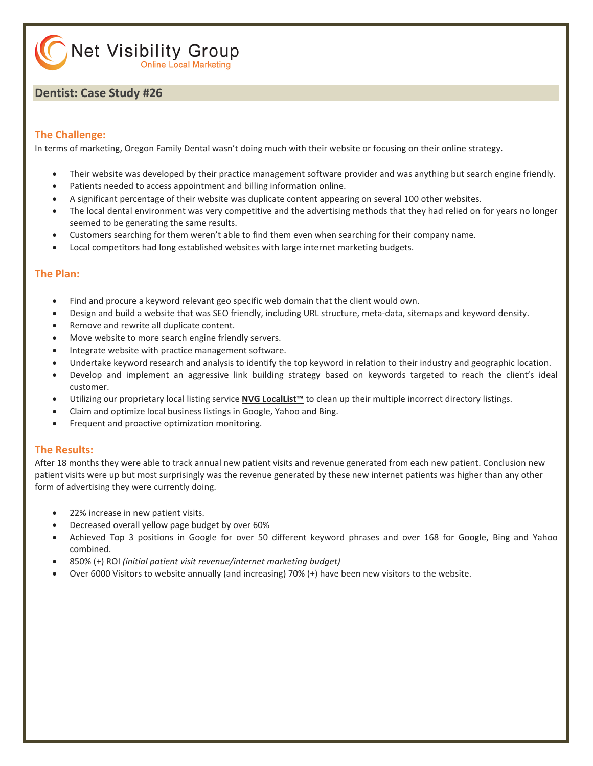Net Visibility Group **Online Local Marketing** 

#### **Dentist: Case Study #26**

#### **The Challenge:**

In terms of marketing, Oregon Family Dental wasn't doing much with their website or focusing on their online strategy.

- Their website was developed by their practice management software provider and was anything but search engine friendly.
- Patients needed to access appointment and billing information online.
- A significant percentage of their website was duplicate content appearing on several 100 other websites.
- The local dental environment was very competitive and the advertising methods that they had relied on for years no longer seemed to be generating the same results.
- Customers searching for them weren't able to find them even when searching for their company name.
- Local competitors had long established websites with large internet marketing budgets.

#### **The Plan:**

- Find and procure a keyword relevant geo specific web domain that the client would own.
- Design and build a website that was SEO friendly, including URL structure, meta-data, sitemaps and keyword density.
- Remove and rewrite all duplicate content.
- Move website to more search engine friendly servers.
- Integrate website with practice management software.
- Undertake keyword research and analysis to identify the top keyword in relation to their industry and geographic location.
- Develop and implement an aggressive link building strategy based on keywords targeted to reach the client's ideal customer.
- Utilizing our proprietary local listing service **[NVG LocalList™](http://www.netvisibilitygroup.com/services/)** to clean up their multiple incorrect directory listings.
- Claim and optimize local business listings in Google, Yahoo and Bing.
- Frequent and proactive optimization monitoring.

#### **The Results:**

After 18 months they were able to track annual new patient visits and revenue generated from each new patient. Conclusion new patient visits were up but most surprisingly was the revenue generated by these new internet patients was higher than any other form of advertising they were currently doing.

- 22% increase in new patient visits.
- Decreased overall yellow page budget by over 60%
- Achieved Top 3 positions in Google for over 50 different keyword phrases and over 168 for Google, Bing and Yahoo combined.
- 850% (+) ROI *(initial patient visit revenue/internet marketing budget)*
- Over 6000 Visitors to website annually (and increasing) 70% (+) have been new visitors to the website.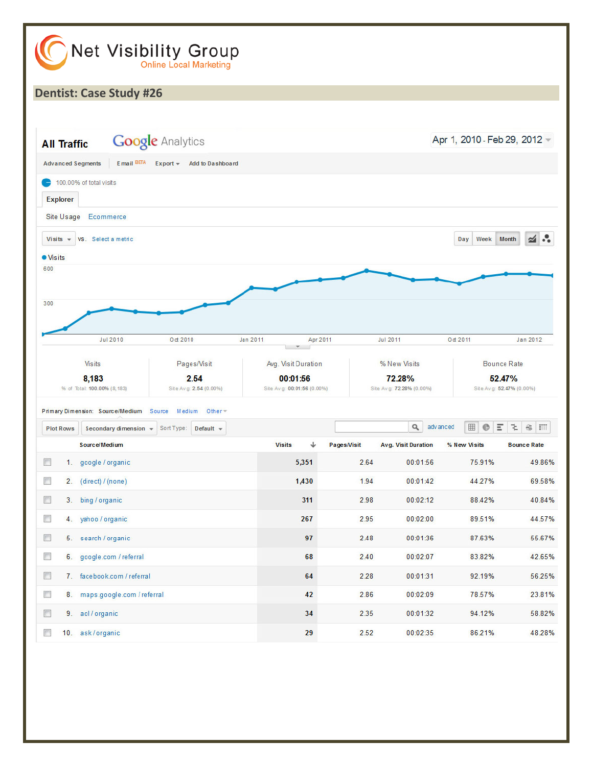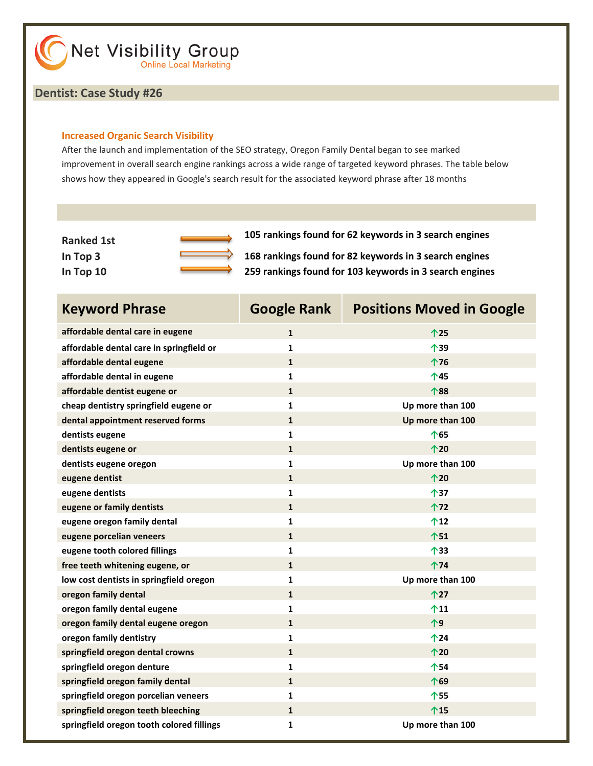#### **Dentist: Case Study #26**

#### **Increased Organic Search Visibility**

After the launch and implementation of the SEO strategy, Oregon Family Dental began to see marked improvement in overall search engine rankings across a wide range of targeted keyword phrases. The table below shows how they appeared in Google's search result for the associated keyword phrase after 18 months

| <b>Ranked 1st</b> |  |
|-------------------|--|
| In Top 3          |  |
| In Top 10         |  |

**Ranked 1st 105 rankings found for 62 keywords in 3 search engines**

168 rankings found for 82 keywords in 3 search engines **In Top 10 259 rankings found for 103 keywords in 3 search engines**

| <b>Keyword Phrase</b>                     | <b>Google Rank</b> | <b>Positions Moved in Google</b> |
|-------------------------------------------|--------------------|----------------------------------|
| affordable dental care in eugene          | $\mathbf{1}$       | 个25                              |
| affordable dental care in springfield or  | $\mathbf{1}$       | 个39                              |
| affordable dental eugene                  | $\mathbf{1}$       | 个76                              |
| affordable dental in eugene               | $\mathbf{1}$       | 个45                              |
| affordable dentist eugene or              | $\mathbf{1}$       | 个88                              |
| cheap dentistry springfield eugene or     | $\mathbf{1}$       | Up more than 100                 |
| dental appointment reserved forms         | $\mathbf{1}$       | Up more than 100                 |
| dentists eugene                           | $\mathbf{1}$       | 个65                              |
| dentists eugene or                        | $\mathbf{1}$       | 个20                              |
| dentists eugene oregon                    | $\mathbf{1}$       | Up more than 100                 |
| eugene dentist                            | $\mathbf{1}$       | 个20                              |
| eugene dentists                           | $\mathbf{1}$       | 个37                              |
| eugene or family dentists                 | $\mathbf{1}$       | 个72                              |
| eugene oregon family dental               | $\mathbf{1}$       | $^{\text{12}}$                   |
| eugene porcelian veneers                  | $\mathbf{1}$       | 个51                              |
| eugene tooth colored fillings             | $\mathbf{1}$       | 个33                              |
| free teeth whitening eugene, or           | $\mathbf{1}$       | 个74                              |
| low cost dentists in springfield oregon   | $\mathbf{1}$       | Up more than 100                 |
| oregon family dental                      | $\mathbf{1}$       | 个27                              |
| oregon family dental eugene               | $\mathbf{1}$       | $^{\text{11}}$                   |
| oregon family dental eugene oregon        | $\mathbf{1}$       | 个9                               |
| oregon family dentistry                   | $\mathbf{1}$       | 个24                              |
| springfield oregon dental crowns          | $\mathbf{1}$       | 个20                              |
| springfield oregon denture                | $\mathbf{1}$       | 个54                              |
| springfield oregon family dental          | $\mathbf{1}$       | 个69                              |
| springfield oregon porcelian veneers      | $\mathbf{1}$       | 个55                              |
| springfield oregon teeth bleeching        | $\mathbf{1}$       | 个15                              |
| springfield oregon tooth colored fillings | $\mathbf{1}$       | Up more than 100                 |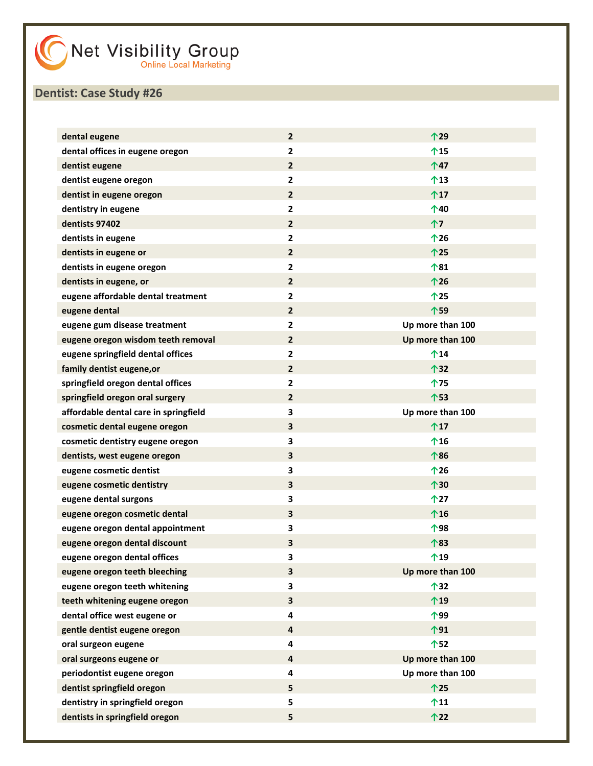| dental eugene                         | $\mathbf{2}$ | 个29              |
|---------------------------------------|--------------|------------------|
| dental offices in eugene oregon       | $\mathbf{2}$ | 个15              |
| dentist eugene                        | $\mathbf{2}$ | 个47              |
| dentist eugene oregon                 | 2            | $^{\text{13}}$   |
| dentist in eugene oregon              | $\mathbf{2}$ | $^{\text{17}}$   |
| dentistry in eugene                   | $\mathbf{2}$ | 个40              |
| dentists 97402                        | $\mathbf{2}$ | 个7               |
| dentists in eugene                    | $\mathbf{2}$ | $^{\text{126}}$  |
| dentists in eugene or                 | $\mathbf{2}$ | 个25              |
| dentists in eugene oregon             | $\mathbf{2}$ | 个81              |
| dentists in eugene, or                | $\mathbf{2}$ | 个26              |
| eugene affordable dental treatment    | $\mathbf{2}$ | 个25              |
| eugene dental                         | $\mathbf{2}$ | 个59              |
| eugene gum disease treatment          | $\mathbf{2}$ | Up more than 100 |
| eugene oregon wisdom teeth removal    | $\mathbf{2}$ | Up more than 100 |
| eugene springfield dental offices     | 2            | $^{\text{14}}$   |
| family dentist eugene, or             | $\mathbf{2}$ | 个32              |
| springfield oregon dental offices     | 2            | 个75              |
| springfield oregon oral surgery       | $\mathbf{2}$ | 个53              |
| affordable dental care in springfield | 3            | Up more than 100 |
| cosmetic dental eugene oregon         | 3            | $^{\text{17}}$   |
| cosmetic dentistry eugene oregon      | 3            | $^{\text{16}}$   |
| dentists, west eugene oregon          | 3            | 个86              |
| eugene cosmetic dentist               | 3            | $^{\text{126}}$  |
| eugene cosmetic dentistry             | 3            | 个30              |
| eugene dental surgons                 | 3            | $^{\text{127}}$  |
| eugene oregon cosmetic dental         | 3            | $^{\text{16}}$   |
| eugene oregon dental appointment      | 3            | 个98              |
| eugene oregon dental discount         | 3            | 个83              |
| eugene oregon dental offices          | 3            | 个19              |
| eugene oregon teeth bleeching         | 3            | Up more than 100 |
| eugene oregon teeth whitening         | 3            | 个32              |
| teeth whitening eugene oregon         | 3            | $^{\text{19}}$   |
| dental office west eugene or          | 4            | 个99              |
| gentle dentist eugene oregon          | 4            | 个91              |
| oral surgeon eugene                   | 4            | 个52              |
| oral surgeons eugene or               | 4            | Up more than 100 |
| periodontist eugene oregon            | 4            | Up more than 100 |
| dentist springfield oregon            | 5            | 个25              |
| dentistry in springfield oregon       | 5            | $^{\text{11}}$   |
| dentists in springfield oregon        | 5            | 个22              |
|                                       |              |                  |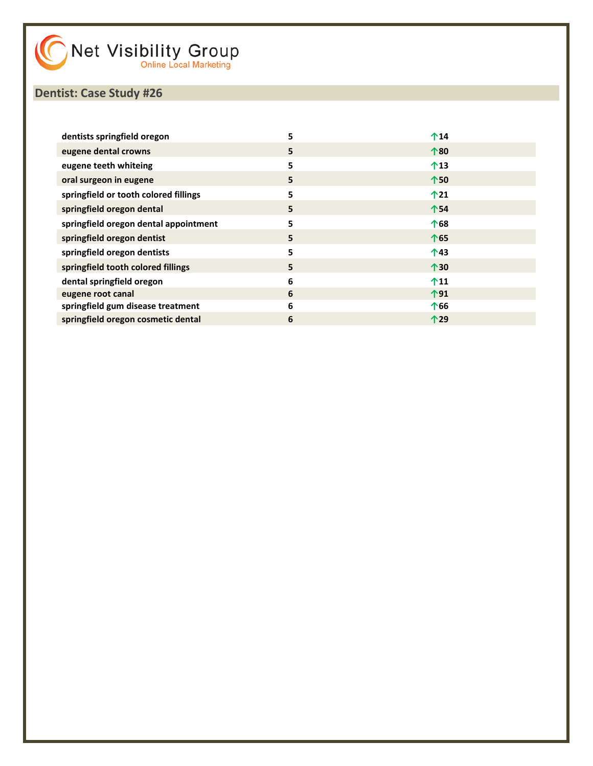| dentists springfield oregon           | 5 | $^{\text{14}}$ |
|---------------------------------------|---|----------------|
| eugene dental crowns                  | 5 | 个80            |
| eugene teeth whiteing                 | 5 | $^{\text{13}}$ |
| oral surgeon in eugene                | 5 | 个50            |
| springfield or tooth colored fillings | 5 | $^{\text{12}}$ |
| springfield oregon dental             | 5 | 个54            |
| springfield oregon dental appointment | 5 | 个68            |
| springfield oregon dentist            | 5 | 个65            |
| springfield oregon dentists           | 5 | 个43            |
| springfield tooth colored fillings    | 5 | 个30            |
| dental springfield oregon             | 6 | $^{\text{11}}$ |
| eugene root canal                     | 6 | 个91            |
| springfield gum disease treatment     | 6 | 个66            |
| springfield oregon cosmetic dental    | 6 | 个29            |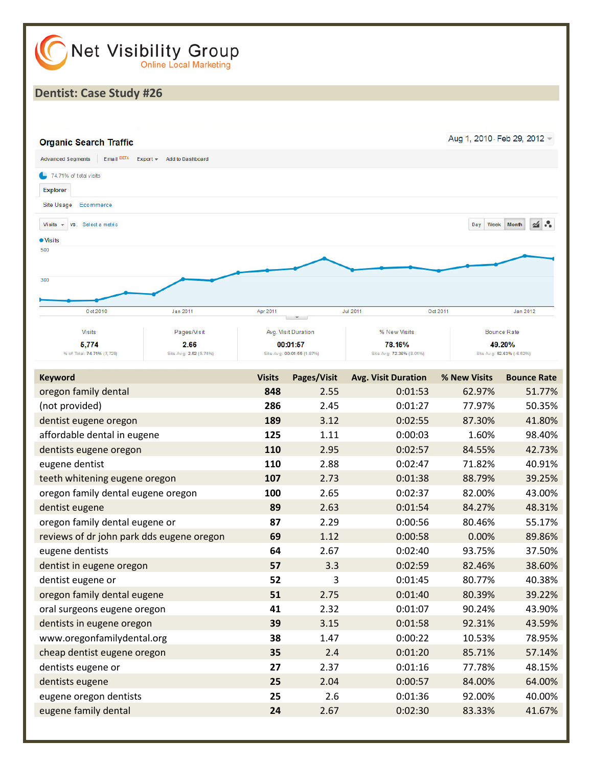

| <b>Keyword</b>                            | <b>Visits</b> | Pages/Visit | <b>Avg. Visit Duration</b> | % New Visits | <b>Bounce Rate</b> |
|-------------------------------------------|---------------|-------------|----------------------------|--------------|--------------------|
| oregon family dental                      | 848           | 2.55        | 0:01:53                    | 62.97%       | 51.77%             |
| (not provided)                            | 286           | 2.45        | 0:01:27                    | 77.97%       | 50.35%             |
| dentist eugene oregon                     | 189           | 3.12        | 0:02:55                    | 87.30%       | 41.80%             |
| affordable dental in eugene               | 125           | 1.11        | 0:00:03                    | 1.60%        | 98.40%             |
| dentists eugene oregon                    | 110           | 2.95        | 0:02:57                    | 84.55%       | 42.73%             |
| eugene dentist                            | 110           | 2.88        | 0:02:47                    | 71.82%       | 40.91%             |
| teeth whitening eugene oregon             | 107           | 2.73        | 0:01:38                    | 88.79%       | 39.25%             |
| oregon family dental eugene oregon        | 100           | 2.65        | 0:02:37                    | 82.00%       | 43.00%             |
| dentist eugene                            | 89            | 2.63        | 0:01:54                    | 84.27%       | 48.31%             |
| oregon family dental eugene or            | 87            | 2.29        | 0:00:56                    | 80.46%       | 55.17%             |
| reviews of dr john park dds eugene oregon | 69            | 1.12        | 0:00:58                    | 0.00%        | 89.86%             |
| eugene dentists                           | 64            | 2.67        | 0:02:40                    | 93.75%       | 37.50%             |
| dentist in eugene oregon                  | 57            | 3.3         | 0:02:59                    | 82.46%       | 38.60%             |
| dentist eugene or                         | 52            | 3           | 0:01:45                    | 80.77%       | 40.38%             |
| oregon family dental eugene               | 51            | 2.75        | 0:01:40                    | 80.39%       | 39.22%             |
| oral surgeons eugene oregon               | 41            | 2.32        | 0:01:07                    | 90.24%       | 43.90%             |
| dentists in eugene oregon                 | 39            | 3.15        | 0:01:58                    | 92.31%       | 43.59%             |
| www.oregonfamilydental.org                | 38            | 1.47        | 0:00:22                    | 10.53%       | 78.95%             |
| cheap dentist eugene oregon               | 35            | 2.4         | 0:01:20                    | 85.71%       | 57.14%             |
| dentists eugene or                        | 27            | 2.37        | 0:01:16                    | 77.78%       | 48.15%             |
| dentists eugene                           | 25            | 2.04        | 0:00:57                    | 84.00%       | 64.00%             |
| eugene oregon dentists                    | 25            | 2.6         | 0:01:36                    | 92.00%       | 40.00%             |
| eugene family dental                      | 24            | 2.67        | 0:02:30                    | 83.33%       | 41.67%             |
|                                           |               |             |                            |              |                    |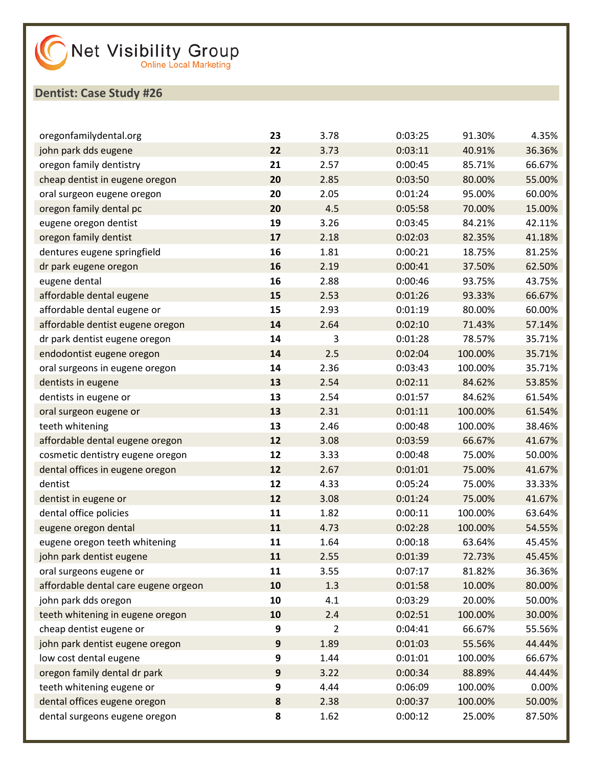| oregonfamilydental.org               | 23        | 3.78 | 0:03:25 | 91.30%  | 4.35%  |
|--------------------------------------|-----------|------|---------|---------|--------|
| john park dds eugene                 | 22        | 3.73 | 0:03:11 | 40.91%  | 36.36% |
| oregon family dentistry              | 21        | 2.57 | 0:00:45 | 85.71%  | 66.67% |
| cheap dentist in eugene oregon       | 20        | 2.85 | 0:03:50 | 80.00%  | 55.00% |
| oral surgeon eugene oregon           | 20        | 2.05 | 0:01:24 | 95.00%  | 60.00% |
| oregon family dental pc              | 20        | 4.5  | 0:05:58 | 70.00%  | 15.00% |
| eugene oregon dentist                | 19        | 3.26 | 0:03:45 | 84.21%  | 42.11% |
| oregon family dentist                | 17        | 2.18 | 0:02:03 | 82.35%  | 41.18% |
| dentures eugene springfield          | 16        | 1.81 | 0:00:21 | 18.75%  | 81.25% |
| dr park eugene oregon                | 16        | 2.19 | 0:00:41 | 37.50%  | 62.50% |
| eugene dental                        | 16        | 2.88 | 0:00:46 | 93.75%  | 43.75% |
| affordable dental eugene             | 15        | 2.53 | 0:01:26 | 93.33%  | 66.67% |
| affordable dental eugene or          | 15        | 2.93 | 0:01:19 | 80.00%  | 60.00% |
| affordable dentist eugene oregon     | 14        | 2.64 | 0:02:10 | 71.43%  | 57.14% |
| dr park dentist eugene oregon        | 14        | 3    | 0:01:28 | 78.57%  | 35.71% |
| endodontist eugene oregon            | 14        | 2.5  | 0:02:04 | 100.00% | 35.71% |
| oral surgeons in eugene oregon       | 14        | 2.36 | 0:03:43 | 100.00% | 35.71% |
| dentists in eugene                   | 13        | 2.54 | 0:02:11 | 84.62%  | 53.85% |
| dentists in eugene or                | 13        | 2.54 | 0:01:57 | 84.62%  | 61.54% |
| oral surgeon eugene or               | 13        | 2.31 | 0:01:11 | 100.00% | 61.54% |
| teeth whitening                      | 13        | 2.46 | 0:00:48 | 100.00% | 38.46% |
| affordable dental eugene oregon      | 12        | 3.08 | 0:03:59 | 66.67%  | 41.67% |
| cosmetic dentistry eugene oregon     | 12        | 3.33 | 0:00:48 | 75.00%  | 50.00% |
| dental offices in eugene oregon      | 12        | 2.67 | 0:01:01 | 75.00%  | 41.67% |
| dentist                              | 12        | 4.33 | 0:05:24 | 75.00%  | 33.33% |
| dentist in eugene or                 | 12        | 3.08 | 0:01:24 | 75.00%  | 41.67% |
| dental office policies               | 11        | 1.82 | 0:00:11 | 100.00% | 63.64% |
| eugene oregon dental                 | 11        | 4.73 | 0:02:28 | 100.00% | 54.55% |
| eugene oregon teeth whitening        | 11        | 1.64 | 0:00:18 | 63.64%  | 45.45% |
| john park dentist eugene             | 11        | 2.55 | 0:01:39 | 72.73%  | 45.45% |
| oral surgeons eugene or              | 11        | 3.55 | 0:07:17 | 81.82%  | 36.36% |
| affordable dental care eugene orgeon | 10        | 1.3  | 0:01:58 | 10.00%  | 80.00% |
| john park dds oregon                 | 10        | 4.1  | 0:03:29 | 20.00%  | 50.00% |
| teeth whitening in eugene oregon     | 10        | 2.4  | 0:02:51 | 100.00% | 30.00% |
| cheap dentist eugene or              | 9         | 2    | 0:04:41 | 66.67%  | 55.56% |
| john park dentist eugene oregon      | 9         | 1.89 | 0:01:03 | 55.56%  | 44.44% |
| low cost dental eugene               | 9         | 1.44 | 0:01:01 | 100.00% | 66.67% |
| oregon family dental dr park         | 9         | 3.22 | 0:00:34 | 88.89%  | 44.44% |
| teeth whitening eugene or            | 9         | 4.44 | 0:06:09 | 100.00% | 0.00%  |
| dental offices eugene oregon         | $\pmb{8}$ | 2.38 | 0:00:37 | 100.00% | 50.00% |
| dental surgeons eugene oregon        | 8         | 1.62 | 0:00:12 | 25.00%  | 87.50% |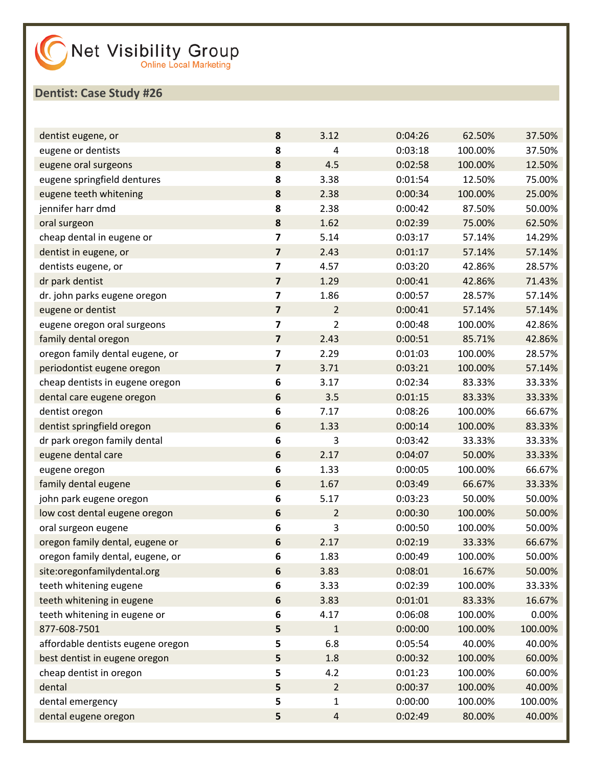| dentist eugene, or                | 8                       | 3.12           | 0:04:26 | 62.50%  | 37.50%  |
|-----------------------------------|-------------------------|----------------|---------|---------|---------|
| eugene or dentists                | 8                       | 4              | 0:03:18 | 100.00% | 37.50%  |
| eugene oral surgeons              | 8                       | 4.5            | 0:02:58 | 100.00% | 12.50%  |
| eugene springfield dentures       | 8                       | 3.38           | 0:01:54 | 12.50%  | 75.00%  |
| eugene teeth whitening            | 8                       | 2.38           | 0:00:34 | 100.00% | 25.00%  |
| jennifer harr dmd                 | 8                       | 2.38           | 0:00:42 | 87.50%  | 50.00%  |
| oral surgeon                      | 8                       | 1.62           | 0:02:39 | 75.00%  | 62.50%  |
| cheap dental in eugene or         | 7                       | 5.14           | 0:03:17 | 57.14%  | 14.29%  |
| dentist in eugene, or             | $\overline{\mathbf{z}}$ | 2.43           | 0:01:17 | 57.14%  | 57.14%  |
| dentists eugene, or               | $\overline{\mathbf{z}}$ | 4.57           | 0:03:20 | 42.86%  | 28.57%  |
| dr park dentist                   | $\overline{\mathbf{z}}$ | 1.29           | 0:00:41 | 42.86%  | 71.43%  |
| dr. john parks eugene oregon      | $\overline{\mathbf{z}}$ | 1.86           | 0:00:57 | 28.57%  | 57.14%  |
| eugene or dentist                 | $\overline{\mathbf{z}}$ | $\overline{2}$ | 0:00:41 | 57.14%  | 57.14%  |
| eugene oregon oral surgeons       | 7                       | 2              | 0:00:48 | 100.00% | 42.86%  |
| family dental oregon              | 7                       | 2.43           | 0:00:51 | 85.71%  | 42.86%  |
| oregon family dental eugene, or   | 7                       | 2.29           | 0:01:03 | 100.00% | 28.57%  |
| periodontist eugene oregon        | 7                       | 3.71           | 0:03:21 | 100.00% | 57.14%  |
| cheap dentists in eugene oregon   | 6                       | 3.17           | 0:02:34 | 83.33%  | 33.33%  |
| dental care eugene oregon         | 6                       | 3.5            | 0:01:15 | 83.33%  | 33.33%  |
| dentist oregon                    | 6                       | 7.17           | 0:08:26 | 100.00% | 66.67%  |
| dentist springfield oregon        | 6                       | 1.33           | 0:00:14 | 100.00% | 83.33%  |
| dr park oregon family dental      | 6                       | 3              | 0:03:42 | 33.33%  | 33.33%  |
| eugene dental care                | 6                       | 2.17           | 0:04:07 | 50.00%  | 33.33%  |
| eugene oregon                     | 6                       | 1.33           | 0:00:05 | 100.00% | 66.67%  |
| family dental eugene              | 6                       | 1.67           | 0:03:49 | 66.67%  | 33.33%  |
| john park eugene oregon           | 6                       | 5.17           | 0:03:23 | 50.00%  | 50.00%  |
| low cost dental eugene oregon     | 6                       | $\overline{2}$ | 0:00:30 | 100.00% | 50.00%  |
| oral surgeon eugene               | 6                       | 3              | 0:00:50 | 100.00% | 50.00%  |
| oregon family dental, eugene or   | 6                       | 2.17           | 0:02:19 | 33.33%  | 66.67%  |
| oregon family dental, eugene, or  | 6                       | 1.83           | 0:00:49 | 100.00% | 50.00%  |
| site:oregonfamilydental.org       | 6                       | 3.83           | 0:08:01 | 16.67%  | 50.00%  |
| teeth whitening eugene            | 6                       | 3.33           | 0:02:39 | 100.00% | 33.33%  |
| teeth whitening in eugene         | 6                       | 3.83           | 0:01:01 | 83.33%  | 16.67%  |
| teeth whitening in eugene or      | 6                       | 4.17           | 0:06:08 | 100.00% | 0.00%   |
| 877-608-7501                      | 5                       | $\mathbf{1}$   | 0:00:00 | 100.00% | 100.00% |
| affordable dentists eugene oregon | 5                       | 6.8            | 0:05:54 | 40.00%  | 40.00%  |
| best dentist in eugene oregon     | 5                       | 1.8            | 0:00:32 | 100.00% | 60.00%  |
| cheap dentist in oregon           | 5                       | 4.2            | 0:01:23 | 100.00% | 60.00%  |
| dental                            | 5                       | $\overline{2}$ | 0:00:37 | 100.00% | 40.00%  |
| dental emergency                  | 5                       | $\mathbf{1}$   | 0:00:00 | 100.00% | 100.00% |
| dental eugene oregon              | 5                       | $\overline{4}$ | 0:02:49 | 80.00%  | 40.00%  |
|                                   |                         |                |         |         |         |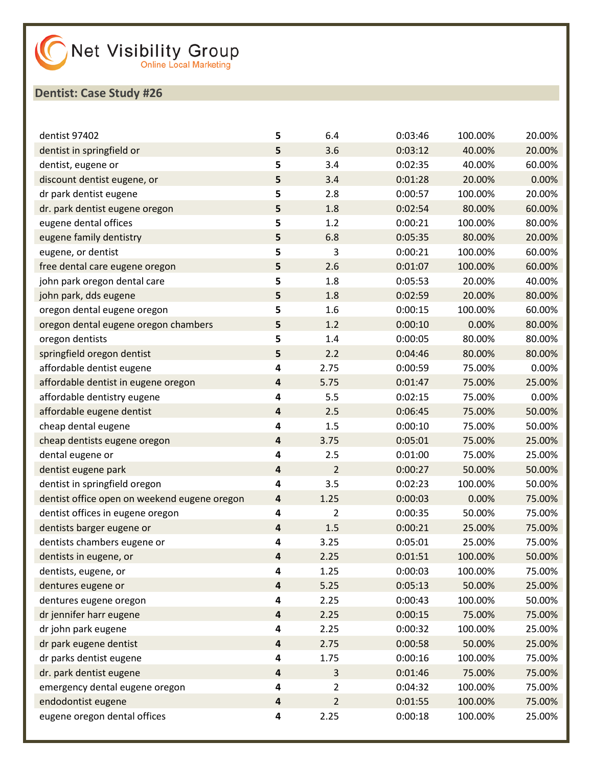| dentist 97402                                | 5         | 6.4            | 0:03:46 | 100.00% | 20.00% |
|----------------------------------------------|-----------|----------------|---------|---------|--------|
| dentist in springfield or                    | 5         | 3.6            | 0:03:12 | 40.00%  | 20.00% |
| dentist, eugene or                           | 5         | 3.4            | 0:02:35 | 40.00%  | 60.00% |
| discount dentist eugene, or                  | 5         | 3.4            | 0:01:28 | 20.00%  | 0.00%  |
| dr park dentist eugene                       | 5         | 2.8            | 0:00:57 | 100.00% | 20.00% |
| dr. park dentist eugene oregon               | 5         | 1.8            | 0:02:54 | 80.00%  | 60.00% |
| eugene dental offices                        | 5         | 1.2            | 0:00:21 | 100.00% | 80.00% |
| eugene family dentistry                      | 5         | 6.8            | 0:05:35 | 80.00%  | 20.00% |
| eugene, or dentist                           | 5         | 3              | 0:00:21 | 100.00% | 60.00% |
| free dental care eugene oregon               | 5         | 2.6            | 0:01:07 | 100.00% | 60.00% |
| john park oregon dental care                 | 5         | 1.8            | 0:05:53 | 20.00%  | 40.00% |
| john park, dds eugene                        | 5         | 1.8            | 0:02:59 | 20.00%  | 80.00% |
| oregon dental eugene oregon                  | 5         | 1.6            | 0:00:15 | 100.00% | 60.00% |
| oregon dental eugene oregon chambers         | 5         | 1.2            | 0:00:10 | 0.00%   | 80.00% |
| oregon dentists                              | 5         | 1.4            | 0:00:05 | 80.00%  | 80.00% |
| springfield oregon dentist                   | 5         | 2.2            | 0:04:46 | 80.00%  | 80.00% |
| affordable dentist eugene                    | 4         | 2.75           | 0:00:59 | 75.00%  | 0.00%  |
| affordable dentist in eugene oregon          | 4         | 5.75           | 0:01:47 | 75.00%  | 25.00% |
| affordable dentistry eugene                  | 4         | 5.5            | 0:02:15 | 75.00%  | 0.00%  |
| affordable eugene dentist                    | 4         | 2.5            | 0:06:45 | 75.00%  | 50.00% |
| cheap dental eugene                          | 4         | 1.5            | 0:00:10 | 75.00%  | 50.00% |
| cheap dentists eugene oregon                 | 4         | 3.75           | 0:05:01 | 75.00%  | 25.00% |
| dental eugene or                             | 4         | 2.5            | 0:01:00 | 75.00%  | 25.00% |
| dentist eugene park                          | 4         | $\overline{2}$ | 0:00:27 | 50.00%  | 50.00% |
| dentist in springfield oregon                | 4         | 3.5            | 0:02:23 | 100.00% | 50.00% |
| dentist office open on weekend eugene oregon | $\pmb{4}$ | 1.25           | 0:00:03 | 0.00%   | 75.00% |
| dentist offices in eugene oregon             | 4         | $\overline{2}$ | 0:00:35 | 50.00%  | 75.00% |
| dentists barger eugene or                    | 4         | 1.5            | 0:00:21 | 25.00%  | 75.00% |
| dentists chambers eugene or                  | 4         | 3.25           | 0:05:01 | 25.00%  | 75.00% |
| dentists in eugene, or                       | 4         | 2.25           | 0:01:51 | 100.00% | 50.00% |
| dentists, eugene, or                         | 4         | 1.25           | 0:00:03 | 100.00% | 75.00% |
| dentures eugene or                           | $\pmb{4}$ | 5.25           | 0:05:13 | 50.00%  | 25.00% |
| dentures eugene oregon                       | 4         | 2.25           | 0:00:43 | 100.00% | 50.00% |
| dr jennifer harr eugene                      | $\pmb{4}$ | 2.25           | 0:00:15 | 75.00%  | 75.00% |
| dr john park eugene                          | 4         | 2.25           | 0:00:32 | 100.00% | 25.00% |
| dr park eugene dentist                       | $\pmb{4}$ | 2.75           | 0:00:58 | 50.00%  | 25.00% |
| dr parks dentist eugene                      | 4         | 1.75           | 0:00:16 | 100.00% | 75.00% |
| dr. park dentist eugene                      | 4         | 3              | 0:01:46 | 75.00%  | 75.00% |
| emergency dental eugene oregon               | 4         | $\overline{2}$ | 0:04:32 | 100.00% | 75.00% |
| endodontist eugene                           | $\pmb{4}$ | $\overline{2}$ | 0:01:55 | 100.00% | 75.00% |
| eugene oregon dental offices                 | 4         | 2.25           | 0:00:18 | 100.00% | 25.00% |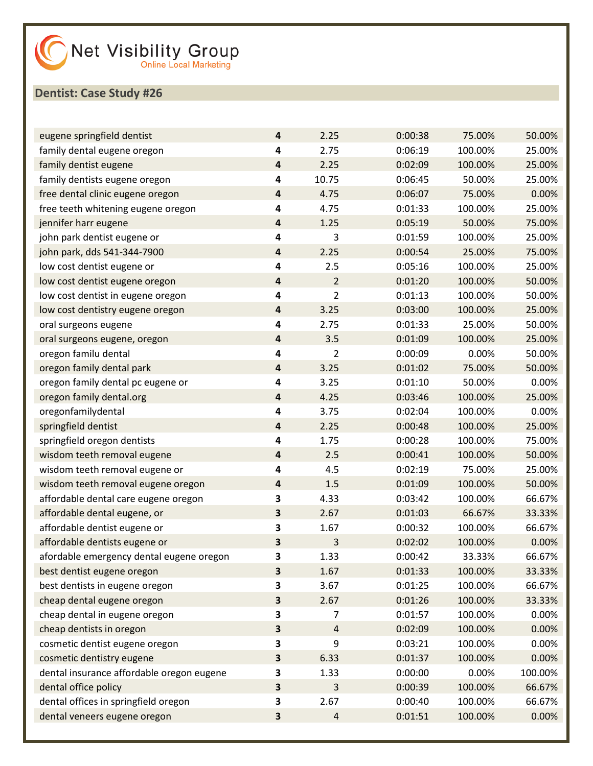| eugene springfield dentist                | 4                       | 2.25           | 0:00:38 | 75.00%  | 50.00%  |
|-------------------------------------------|-------------------------|----------------|---------|---------|---------|
| family dental eugene oregon               | 4                       | 2.75           | 0:06:19 | 100.00% | 25.00%  |
| family dentist eugene                     | 4                       | 2.25           | 0:02:09 | 100.00% | 25.00%  |
| family dentists eugene oregon             | 4                       | 10.75          | 0:06:45 | 50.00%  | 25.00%  |
| free dental clinic eugene oregon          | 4                       | 4.75           | 0:06:07 | 75.00%  | 0.00%   |
| free teeth whitening eugene oregon        | 4                       | 4.75           | 0:01:33 | 100.00% | 25.00%  |
| jennifer harr eugene                      | 4                       | 1.25           | 0:05:19 | 50.00%  | 75.00%  |
| john park dentist eugene or               | 4                       | 3              | 0:01:59 | 100.00% | 25.00%  |
| john park, dds 541-344-7900               | 4                       | 2.25           | 0:00:54 | 25.00%  | 75.00%  |
| low cost dentist eugene or                | 4                       | 2.5            | 0:05:16 | 100.00% | 25.00%  |
| low cost dentist eugene oregon            | 4                       | $\overline{2}$ | 0:01:20 | 100.00% | 50.00%  |
| low cost dentist in eugene oregon         | 4                       | 2              | 0:01:13 | 100.00% | 50.00%  |
| low cost dentistry eugene oregon          | 4                       | 3.25           | 0:03:00 | 100.00% | 25.00%  |
| oral surgeons eugene                      | 4                       | 2.75           | 0:01:33 | 25.00%  | 50.00%  |
| oral surgeons eugene, oregon              | 4                       | 3.5            | 0:01:09 | 100.00% | 25.00%  |
| oregon familu dental                      | 4                       | 2              | 0:00:09 | 0.00%   | 50.00%  |
| oregon family dental park                 | 4                       | 3.25           | 0:01:02 | 75.00%  | 50.00%  |
| oregon family dental pc eugene or         | 4                       | 3.25           | 0:01:10 | 50.00%  | 0.00%   |
| oregon family dental.org                  | 4                       | 4.25           | 0:03:46 | 100.00% | 25.00%  |
| oregonfamilydental                        | 4                       | 3.75           | 0:02:04 | 100.00% | 0.00%   |
| springfield dentist                       | 4                       | 2.25           | 0:00:48 | 100.00% | 25.00%  |
| springfield oregon dentists               | 4                       | 1.75           | 0:00:28 | 100.00% | 75.00%  |
| wisdom teeth removal eugene               | 4                       | 2.5            | 0:00:41 | 100.00% | 50.00%  |
| wisdom teeth removal eugene or            | 4                       | 4.5            | 0:02:19 | 75.00%  | 25.00%  |
| wisdom teeth removal eugene oregon        | 4                       | 1.5            | 0:01:09 | 100.00% | 50.00%  |
| affordable dental care eugene oregon      | 3                       | 4.33           | 0:03:42 | 100.00% | 66.67%  |
| affordable dental eugene, or              | 3                       | 2.67           | 0:01:03 | 66.67%  | 33.33%  |
| affordable dentist eugene or              | 3                       | 1.67           | 0:00:32 | 100.00% | 66.67%  |
| affordable dentists eugene or             | 3                       | 3              | 0:02:02 | 100.00% | 0.00%   |
| afordable emergency dental eugene oregon  | 3                       | 1.33           | 0:00:42 | 33.33%  | 66.67%  |
| best dentist eugene oregon                | $\overline{\mathbf{3}}$ | 1.67           | 0:01:33 | 100.00% | 33.33%  |
| best dentists in eugene oregon            | 3                       | 3.67           | 0:01:25 | 100.00% | 66.67%  |
| cheap dental eugene oregon                | 3                       | 2.67           | 0:01:26 | 100.00% | 33.33%  |
| cheap dental in eugene oregon             | 3                       | 7              | 0:01:57 | 100.00% | 0.00%   |
| cheap dentists in oregon                  | 3                       | 4              | 0:02:09 | 100.00% | 0.00%   |
| cosmetic dentist eugene oregon            | 3                       | 9              | 0:03:21 | 100.00% | 0.00%   |
| cosmetic dentistry eugene                 | 3                       | 6.33           | 0:01:37 | 100.00% | 0.00%   |
| dental insurance affordable oregon eugene | 3                       | 1.33           | 0:00:00 | 0.00%   | 100.00% |
| dental office policy                      | 3                       | 3              | 0:00:39 | 100.00% | 66.67%  |
| dental offices in springfield oregon      | 3                       | 2.67           | 0:00:40 | 100.00% | 66.67%  |
| dental veneers eugene oregon              | $\overline{\mathbf{3}}$ | $\sqrt{4}$     | 0:01:51 | 100.00% | 0.00%   |
|                                           |                         |                |         |         |         |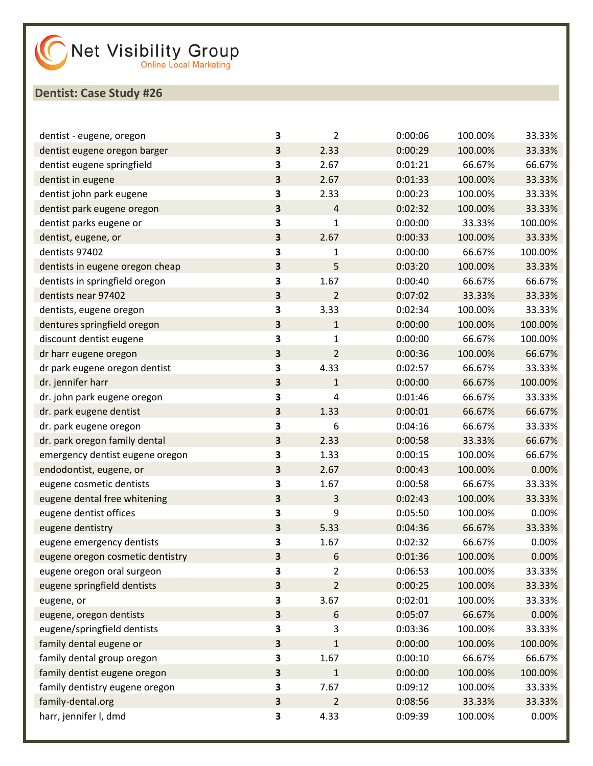| dentist - eugene, oregon         | 3                       | 2              | 0:00:06 | 100.00% | 33.33%  |
|----------------------------------|-------------------------|----------------|---------|---------|---------|
| dentist eugene oregon barger     | 3                       | 2.33           | 0:00:29 | 100.00% | 33.33%  |
| dentist eugene springfield       | 3                       | 2.67           | 0:01:21 | 66.67%  | 66.67%  |
| dentist in eugene                | 3                       | 2.67           | 0:01:33 | 100.00% | 33.33%  |
| dentist john park eugene         | 3                       | 2.33           | 0:00:23 | 100.00% | 33.33%  |
| dentist park eugene oregon       | $\overline{\mathbf{3}}$ | $\overline{4}$ | 0:02:32 | 100.00% | 33.33%  |
| dentist parks eugene or          | 3                       | $\mathbf{1}$   | 0:00:00 | 33.33%  | 100.00% |
| dentist, eugene, or              | $\overline{\mathbf{3}}$ | 2.67           | 0:00:33 | 100.00% | 33.33%  |
| dentists 97402                   | 3                       | 1              | 0:00:00 | 66.67%  | 100.00% |
| dentists in eugene oregon cheap  | $\overline{\mathbf{3}}$ | 5              | 0:03:20 | 100.00% | 33.33%  |
| dentists in springfield oregon   | 3                       | 1.67           | 0:00:40 | 66.67%  | 66.67%  |
| dentists near 97402              | 3                       | $\overline{2}$ | 0:07:02 | 33.33%  | 33.33%  |
| dentists, eugene oregon          | 3                       | 3.33           | 0:02:34 | 100.00% | 33.33%  |
| dentures springfield oregon      | $\overline{\mathbf{3}}$ | $\mathbf{1}$   | 0:00:00 | 100.00% | 100.00% |
| discount dentist eugene          | 3                       | 1              | 0:00:00 | 66.67%  | 100.00% |
| dr harr eugene oregon            | 3                       | 2              | 0:00:36 | 100.00% | 66.67%  |
| dr park eugene oregon dentist    | 3                       | 4.33           | 0:02:57 | 66.67%  | 33.33%  |
| dr. jennifer harr                | $\overline{\mathbf{3}}$ | $\mathbf{1}$   | 0:00:00 | 66.67%  | 100.00% |
| dr. john park eugene oregon      | 3                       | 4              | 0:01:46 | 66.67%  | 33.33%  |
| dr. park eugene dentist          | 3                       | 1.33           | 0:00:01 | 66.67%  | 66.67%  |
| dr. park eugene oregon           | 3                       | 6              | 0:04:16 | 66.67%  | 33.33%  |
| dr. park oregon family dental    | $\overline{\mathbf{3}}$ | 2.33           | 0:00:58 | 33.33%  | 66.67%  |
| emergency dentist eugene oregon  | 3                       | 1.33           | 0:00:15 | 100.00% | 66.67%  |
| endodontist, eugene, or          | 3                       | 2.67           | 0:00:43 | 100.00% | 0.00%   |
| eugene cosmetic dentists         | 3                       | 1.67           | 0:00:58 | 66.67%  | 33.33%  |
| eugene dental free whitening     | $\overline{\mathbf{3}}$ | 3              | 0:02:43 | 100.00% | 33.33%  |
| eugene dentist offices           | 3                       | 9              | 0:05:50 | 100.00% | 0.00%   |
| eugene dentistry                 | 3                       | 5.33           | 0:04:36 | 66.67%  | 33.33%  |
| eugene emergency dentists        | 3                       | 1.67           | 0:02:32 | 66.67%  | 0.00%   |
| eugene oregon cosmetic dentistry | 3                       | 6              | 0:01:36 | 100.00% | 0.00%   |
| eugene oregon oral surgeon       | 3                       | 2              | 0:06:53 | 100.00% | 33.33%  |
| eugene springfield dentists      | $\overline{\mathbf{3}}$ | $\overline{2}$ | 0:00:25 | 100.00% | 33.33%  |
| eugene, or                       | 3                       | 3.67           | 0:02:01 | 100.00% | 33.33%  |
| eugene, oregon dentists          | $\overline{\mathbf{3}}$ | 6              | 0:05:07 | 66.67%  | 0.00%   |
| eugene/springfield dentists      | 3                       | 3              | 0:03:36 | 100.00% | 33.33%  |
| family dental eugene or          | $\overline{\mathbf{3}}$ | $\mathbf{1}$   | 0:00:00 | 100.00% | 100.00% |
| family dental group oregon       | 3                       | 1.67           | 0:00:10 | 66.67%  | 66.67%  |
| family dentist eugene oregon     | $\overline{\mathbf{3}}$ | $\mathbf{1}$   | 0:00:00 | 100.00% | 100.00% |
| family dentistry eugene oregon   | 3                       | 7.67           | 0:09:12 | 100.00% | 33.33%  |
| family-dental.org                | $\overline{\mathbf{3}}$ | $\overline{2}$ | 0:08:56 | 33.33%  | 33.33%  |
| harr, jennifer I, dmd            | 3                       | 4.33           | 0:09:39 | 100.00% | 0.00%   |